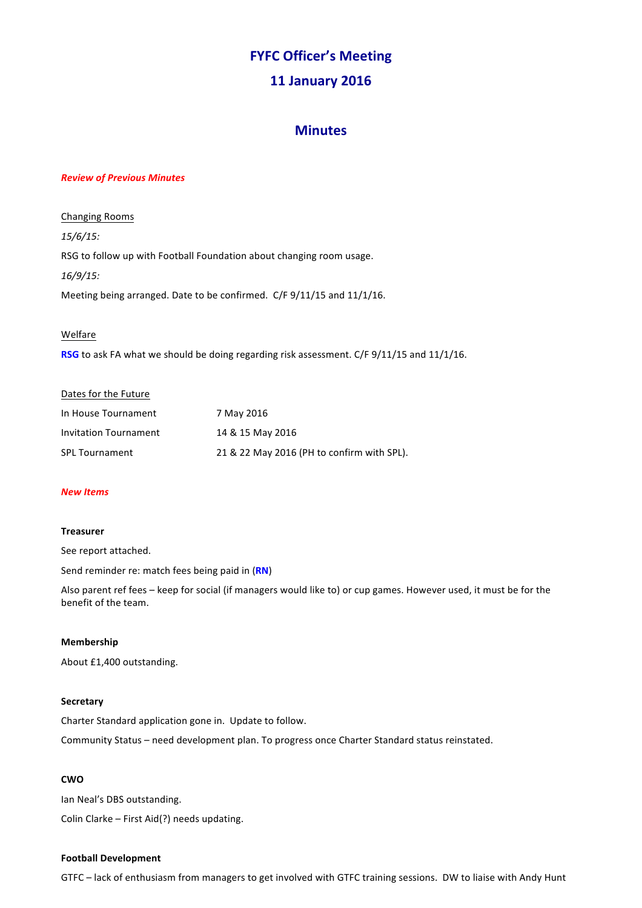# **FYFC Officer's Meeting**

# **11 January 2016**

# **Minutes**

#### *Review of Previous Minutes*

**Changing Rooms** *15/6/15:* RSG to follow up with Football Foundation about changing room usage. *16/9/15:* Meeting being arranged. Date to be confirmed. C/F 9/11/15 and 11/1/16.

#### Welfare

**RSG** to ask FA what we should be doing regarding risk assessment. C/F 9/11/15 and 11/1/16.

# Dates for the Future

| In House Tournament   | 7 May 2016                                 |
|-----------------------|--------------------------------------------|
| Invitation Tournament | 14 & 15 May 2016                           |
| <b>SPL Tournament</b> | 21 & 22 May 2016 (PH to confirm with SPL). |

## *New Items*

#### **Treasurer**

See report attached.

Send reminder re: match fees being paid in (RN)

Also parent ref fees – keep for social (if managers would like to) or cup games. However used, it must be for the benefit of the team.

## **Membership**

About £1,400 outstanding.

#### **Secretary**

Charter Standard application gone in. Update to follow.

Community Status - need development plan. To progress once Charter Standard status reinstated.

## **CWO**

Ian Neal's DBS outstanding. Colin Clarke  $-$  First Aid(?) needs updating.

#### **Football Development**

GTFC - lack of enthusiasm from managers to get involved with GTFC training sessions. DW to liaise with Andy Hunt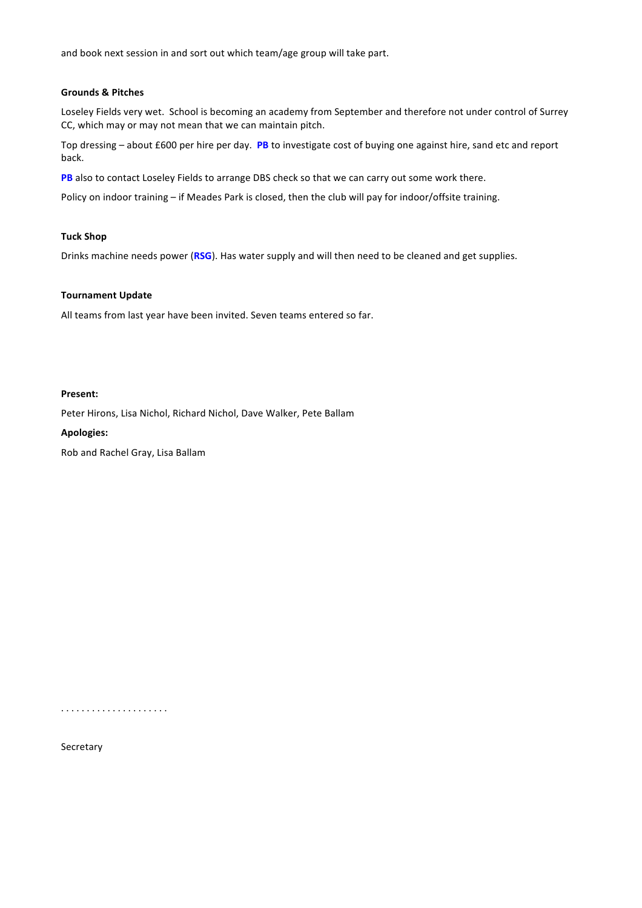and book next session in and sort out which team/age group will take part.

#### **Grounds & Pitches**

Loseley Fields very wet. School is becoming an academy from September and therefore not under control of Surrey CC, which may or may not mean that we can maintain pitch.

Top dressing – about £600 per hire per day. PB to investigate cost of buying one against hire, sand etc and report back.

PB also to contact Loseley Fields to arrange DBS check so that we can carry out some work there.

Policy on indoor training – if Meades Park is closed, then the club will pay for indoor/offsite training.

#### **Tuck Shop**

Drinks machine needs power (RSG). Has water supply and will then need to be cleaned and get supplies.

#### **Tournament Update**

All teams from last year have been invited. Seven teams entered so far.

#### **Present:**

Peter Hirons, Lisa Nichol, Richard Nichol, Dave Walker, Pete Ballam

#### **Apologies:**

Rob and Rachel Gray, Lisa Ballam

. . . . . . . . . . . . . . . . . . . . .

Secretary